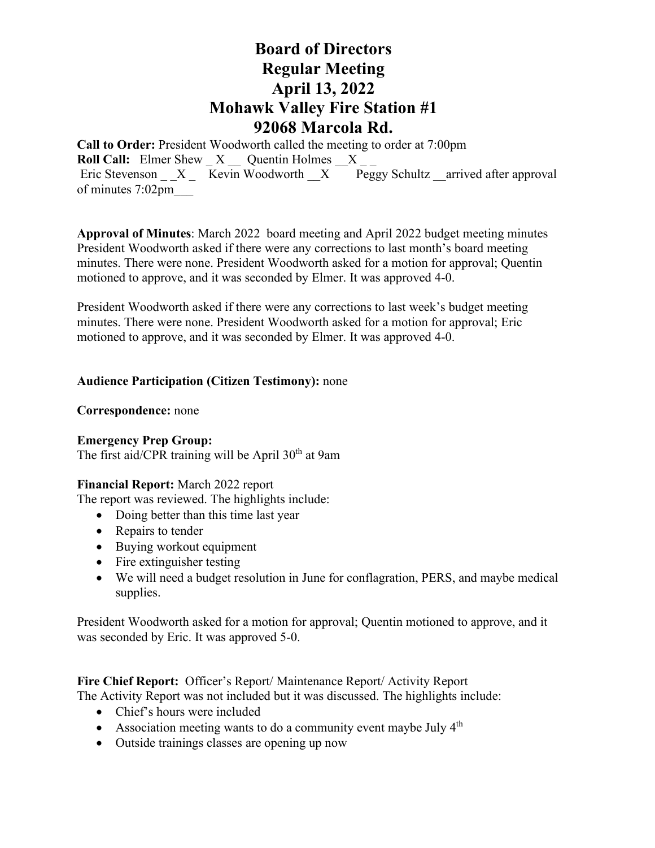**Call to Order:** President Woodworth called the meeting to order at 7:00pm **Roll Call:** Elmer Shew X Quentin Holmes X Eric Stevenson  $X -$ Kevin Woodworth  $X -$ Peggy Schultz arrived after approval of minutes 7:02pm\_\_\_

**Approval of Minutes**: March 2022 board meeting and April 2022 budget meeting minutes President Woodworth asked if there were any corrections to last month's board meeting minutes. There were none. President Woodworth asked for a motion for approval; Quentin motioned to approve, and it was seconded by Elmer. It was approved 4-0.

President Woodworth asked if there were any corrections to last week's budget meeting minutes. There were none. President Woodworth asked for a motion for approval; Eric motioned to approve, and it was seconded by Elmer. It was approved 4-0.

#### **Audience Participation (Citizen Testimony):** none

#### **Correspondence:** none

#### **Emergency Prep Group:**

The first aid/CPR training will be April 30th at 9am

#### **Financial Report:** March 2022 report

The report was reviewed. The highlights include:

- Doing better than this time last year
- Repairs to tender
- Buying workout equipment
- Fire extinguisher testing
- We will need a budget resolution in June for conflagration, PERS, and maybe medical supplies.

President Woodworth asked for a motion for approval; Quentin motioned to approve, and it was seconded by Eric. It was approved 5-0.

**Fire Chief Report:** Officer's Report/ Maintenance Report/ Activity Report

The Activity Report was not included but it was discussed. The highlights include:

- Chief's hours were included
- Association meeting wants to do a community event maybe July  $4<sup>th</sup>$
- Outside trainings classes are opening up now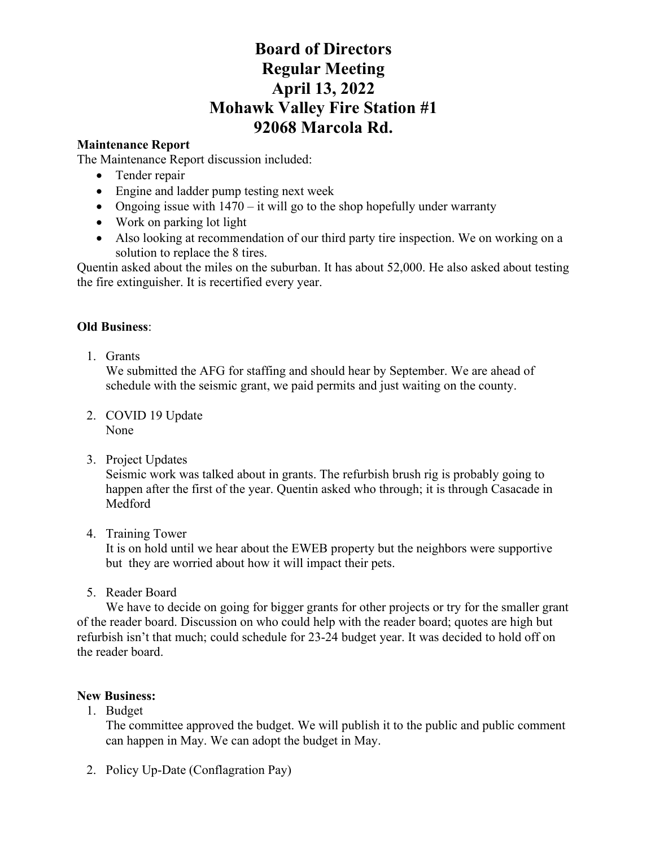## **Maintenance Report**

The Maintenance Report discussion included:

- Tender repair
- Engine and ladder pump testing next week
- Ongoing issue with  $1470 it$  will go to the shop hopefully under warranty
- Work on parking lot light
- Also looking at recommendation of our third party tire inspection. We on working on a solution to replace the 8 tires.

Quentin asked about the miles on the suburban. It has about 52,000. He also asked about testing the fire extinguisher. It is recertified every year.

### **Old Business**:

1. Grants

We submitted the AFG for staffing and should hear by September. We are ahead of schedule with the seismic grant, we paid permits and just waiting on the county.

- 2. COVID 19 Update None
- 3. Project Updates

Seismic work was talked about in grants. The refurbish brush rig is probably going to happen after the first of the year. Quentin asked who through; it is through Casacade in Medford

4. Training Tower

It is on hold until we hear about the EWEB property but the neighbors were supportive but they are worried about how it will impact their pets.

5. Reader Board

We have to decide on going for bigger grants for other projects or try for the smaller grant of the reader board. Discussion on who could help with the reader board; quotes are high but refurbish isn't that much; could schedule for 23-24 budget year. It was decided to hold off on the reader board.

### **New Business:**

1. Budget

The committee approved the budget. We will publish it to the public and public comment can happen in May. We can adopt the budget in May.

2. Policy Up-Date (Conflagration Pay)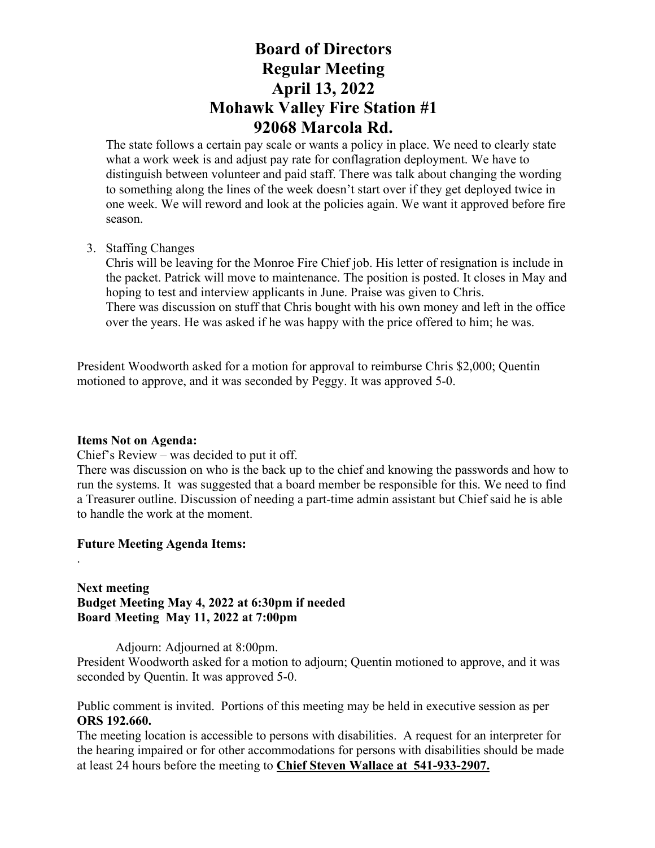The state follows a certain pay scale or wants a policy in place. We need to clearly state what a work week is and adjust pay rate for conflagration deployment. We have to distinguish between volunteer and paid staff. There was talk about changing the wording to something along the lines of the week doesn't start over if they get deployed twice in one week. We will reword and look at the policies again. We want it approved before fire season.

#### 3. Staffing Changes

Chris will be leaving for the Monroe Fire Chief job. His letter of resignation is include in the packet. Patrick will move to maintenance. The position is posted. It closes in May and hoping to test and interview applicants in June. Praise was given to Chris. There was discussion on stuff that Chris bought with his own money and left in the office over the years. He was asked if he was happy with the price offered to him; he was.

President Woodworth asked for a motion for approval to reimburse Chris \$2,000; Quentin motioned to approve, and it was seconded by Peggy. It was approved 5-0.

#### **Items Not on Agenda:**

.

Chief's Review – was decided to put it off.

There was discussion on who is the back up to the chief and knowing the passwords and how to run the systems. It was suggested that a board member be responsible for this. We need to find a Treasurer outline. Discussion of needing a part-time admin assistant but Chief said he is able to handle the work at the moment.

### **Future Meeting Agenda Items:**

#### **Next meeting Budget Meeting May 4, 2022 at 6:30pm if needed Board Meeting May 11, 2022 at 7:00pm**

Adjourn: Adjourned at 8:00pm.

President Woodworth asked for a motion to adjourn; Quentin motioned to approve, and it was seconded by Quentin. It was approved 5-0.

Public comment is invited. Portions of this meeting may be held in executive session as per **ORS 192.660.**

The meeting location is accessible to persons with disabilities. A request for an interpreter for the hearing impaired or for other accommodations for persons with disabilities should be made at least 24 hours before the meeting to **Chief Steven Wallace at 541-933-2907.**